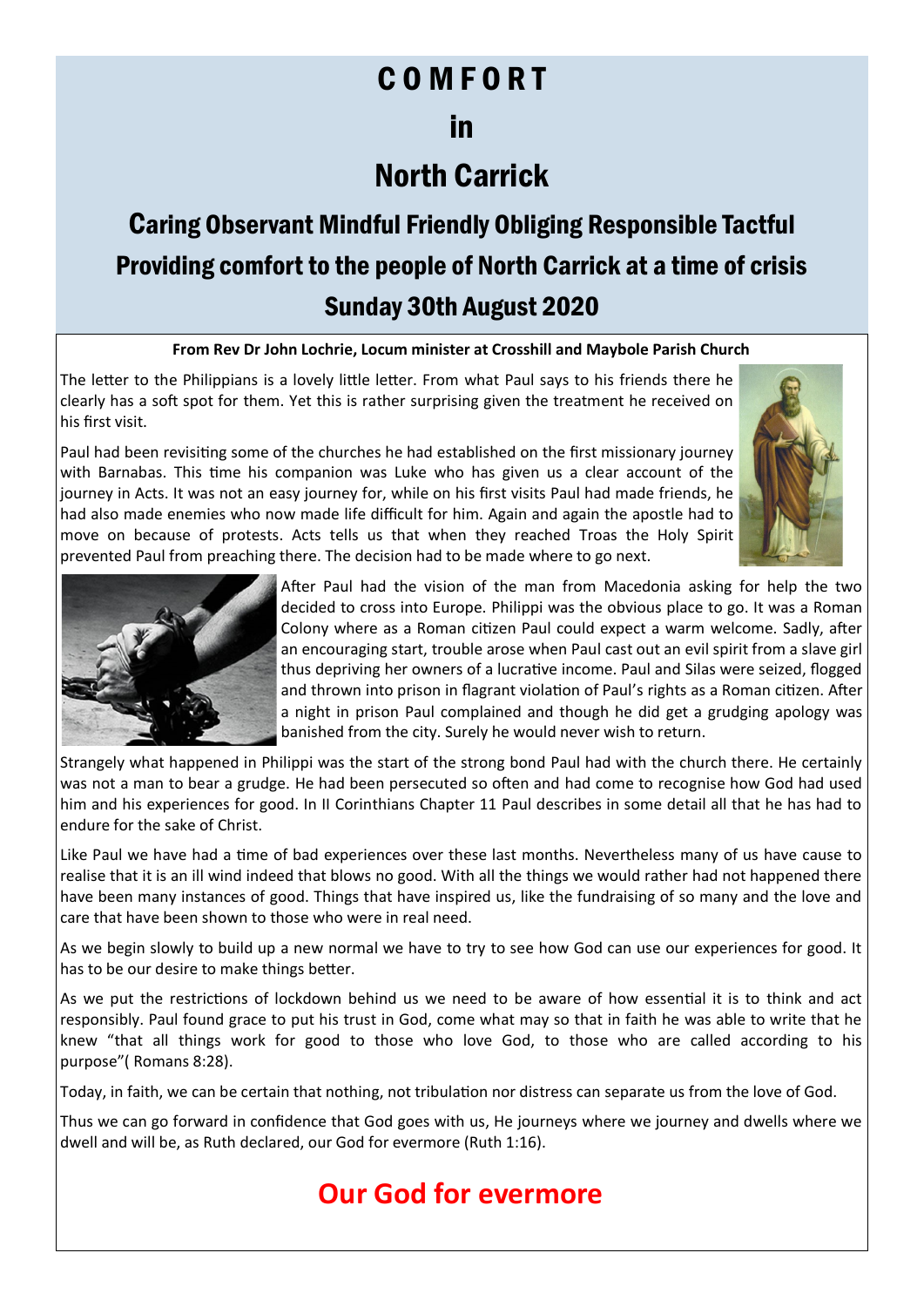## C O M F O R T

### in

## North Carrick

# Caring Observant Mindful Friendly Obliging Responsible Tactful Providing comfort to the people of North Carrick at a time of crisis Sunday 30th August 2020

#### **From Rev Dr John Lochrie, Locum minister at Crosshill and Maybole Parish Church**

The letter to the Philippians is a lovely little letter. From what Paul says to his friends there he clearly has a soft spot for them. Yet this is rather surprising given the treatment he received on his first visit.

Paul had been revisiting some of the churches he had established on the first missionary journey with Barnabas. This time his companion was Luke who has given us a clear account of the journey in Acts. It was not an easy journey for, while on his first visits Paul had made friends, he had also made enemies who now made life difficult for him. Again and again the apostle had to move on because of protests. Acts tells us that when they reached Troas the Holy Spirit prevented Paul from preaching there. The decision had to be made where to go next.





After Paul had the vision of the man from Macedonia asking for help the two decided to cross into Europe. Philippi was the obvious place to go. It was a Roman Colony where as a Roman citizen Paul could expect a warm welcome. Sadly, after an encouraging start, trouble arose when Paul cast out an evil spirit from a slave girl thus depriving her owners of a lucrative income. Paul and Silas were seized, flogged and thrown into prison in flagrant violation of Paul's rights as a Roman citizen. After a night in prison Paul complained and though he did get a grudging apology was banished from the city. Surely he would never wish to return.

Strangely what happened in Philippi was the start of the strong bond Paul had with the church there. He certainly was not a man to bear a grudge. He had been persecuted so often and had come to recognise how God had used him and his experiences for good. In II Corinthians Chapter 11 Paul describes in some detail all that he has had to endure for the sake of Christ.

Like Paul we have had a time of bad experiences over these last months. Nevertheless many of us have cause to realise that it is an ill wind indeed that blows no good. With all the things we would rather had not happened there have been many instances of good. Things that have inspired us, like the fundraising of so many and the love and care that have been shown to those who were in real need.

As we begin slowly to build up a new normal we have to try to see how God can use our experiences for good. It has to be our desire to make things better.

As we put the restrictions of lockdown behind us we need to be aware of how essential it is to think and act responsibly. Paul found grace to put his trust in God, come what may so that in faith he was able to write that he knew "that all things work for good to those who love God, to those who are called according to his purpose"( Romans 8:28).

Today, in faith, we can be certain that nothing, not tribulation nor distress can separate us from the love of God.

Thus we can go forward in confidence that God goes with us, He journeys where we journey and dwells where we dwell and will be, as Ruth declared, our God for evermore (Ruth 1:16).

### **Our God for evermore**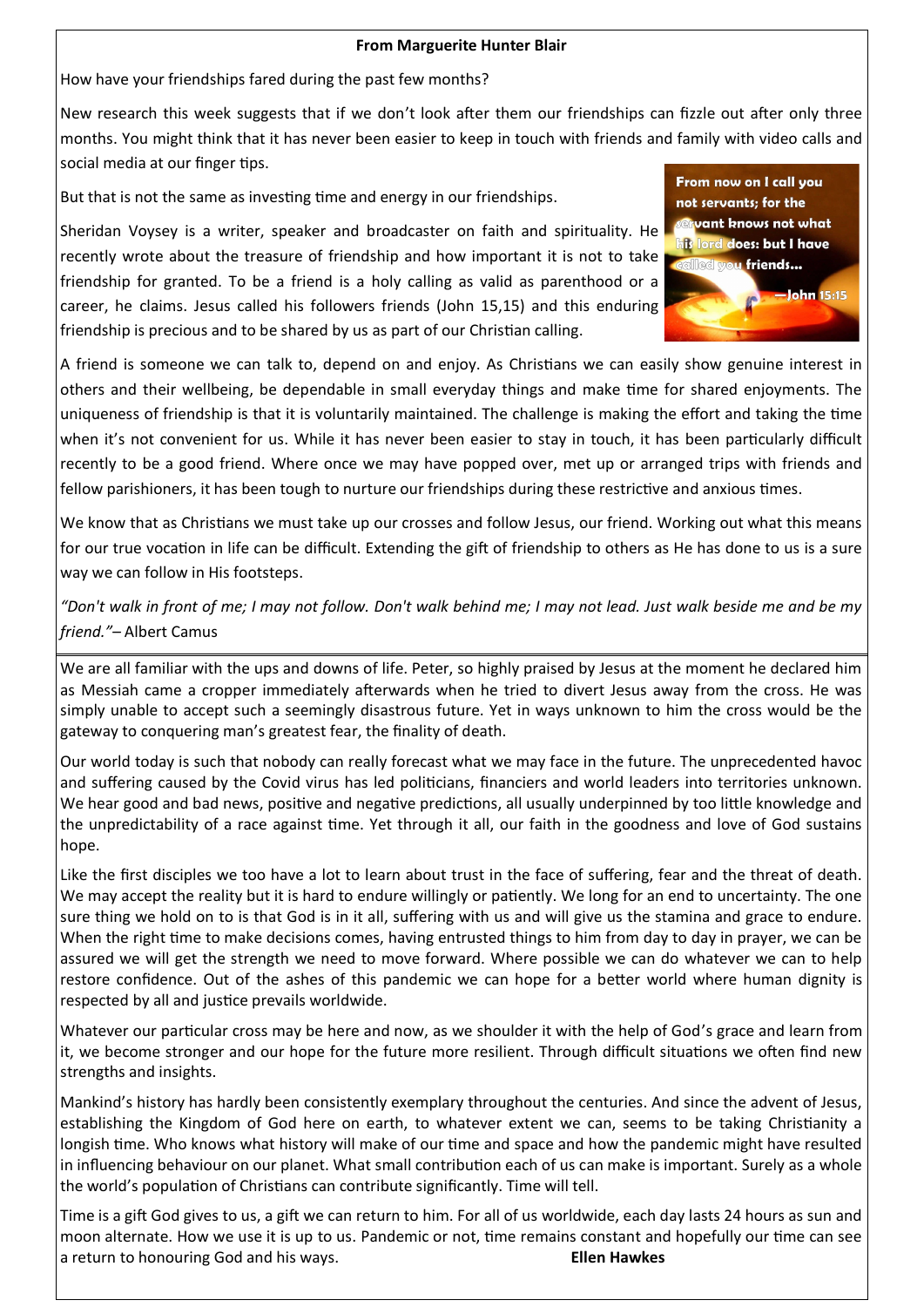#### **From Marguerite Hunter Blair**

How have your friendships fared during the past few months?

New research this week suggests that if we don't look after them our friendships can fizzle out after only three months. You might think that it has never been easier to keep in touch with friends and family with video calls and social media at our finger tips.

But that is not the same as investing time and energy in our friendships.

Sheridan Voysey is a writer, speaker and broadcaster on faith and spirituality. He recently wrote about the treasure of friendship and how important it is not to take friendship for granted. To be a friend is a holy calling as valid as parenthood or a career, he claims. Jesus called his followers friends (John 15,15) and this enduring friendship is precious and to be shared by us as part of our Christian calling.



A friend is someone we can talk to, depend on and enjoy. As Christians we can easily show genuine interest in others and their wellbeing, be dependable in small everyday things and make time for shared enjoyments. The uniqueness of friendship is that it is voluntarily maintained. The challenge is making the effort and taking the time when it's not convenient for us. While it has never been easier to stay in touch, it has been particularly difficult recently to be a good friend. Where once we may have popped over, met up or arranged trips with friends and fellow parishioners, it has been tough to nurture our friendships during these restrictive and anxious times.

We know that as Christians we must take up our crosses and follow Jesus, our friend. Working out what this means for our true vocation in life can be difficult. Extending the gift of friendship to others as He has done to us is a sure way we can follow in His footsteps.

*"Don't walk in front of me; I may not follow. Don't walk behind me; I may not lead. Just walk beside me and be my friend."–* Albert Camus

We are all familiar with the ups and downs of life. Peter, so highly praised by Jesus at the moment he declared him as Messiah came a cropper immediately afterwards when he tried to divert Jesus away from the cross. He was simply unable to accept such a seemingly disastrous future. Yet in ways unknown to him the cross would be the gateway to conquering man's greatest fear, the finality of death.

Our world today is such that nobody can really forecast what we may face in the future. The unprecedented havoc and suffering caused by the Covid virus has led politicians, financiers and world leaders into territories unknown. We hear good and bad news, positive and negative predictions, all usually underpinned by too little knowledge and the unpredictability of a race against time. Yet through it all, our faith in the goodness and love of God sustains hope.

Like the first disciples we too have a lot to learn about trust in the face of suffering, fear and the threat of death. We may accept the reality but it is hard to endure willingly or patiently. We long for an end to uncertainty. The one sure thing we hold on to is that God is in it all, suffering with us and will give us the stamina and grace to endure. When the right time to make decisions comes, having entrusted things to him from day to day in prayer, we can be assured we will get the strength we need to move forward. Where possible we can do whatever we can to help restore confidence. Out of the ashes of this pandemic we can hope for a better world where human dignity is respected by all and justice prevails worldwide.

Whatever our particular cross may be here and now, as we shoulder it with the help of God's grace and learn from it, we become stronger and our hope for the future more resilient. Through difficult situations we often find new strengths and insights.

Mankind's history has hardly been consistently exemplary throughout the centuries. And since the advent of Jesus, establishing the Kingdom of God here on earth, to whatever extent we can, seems to be taking Christianity a longish time. Who knows what history will make of our time and space and how the pandemic might have resulted in influencing behaviour on our planet. What small contribution each of us can make is important. Surely as a whole the world's population of Christians can contribute significantly. Time will tell.

Time is a gift God gives to us, a gift we can return to him. For all of us worldwide, each day lasts 24 hours as sun and moon alternate. How we use it is up to us. Pandemic or not, time remains constant and hopefully our time can see a return to honouring God and his ways. **Ellen Hawkes**